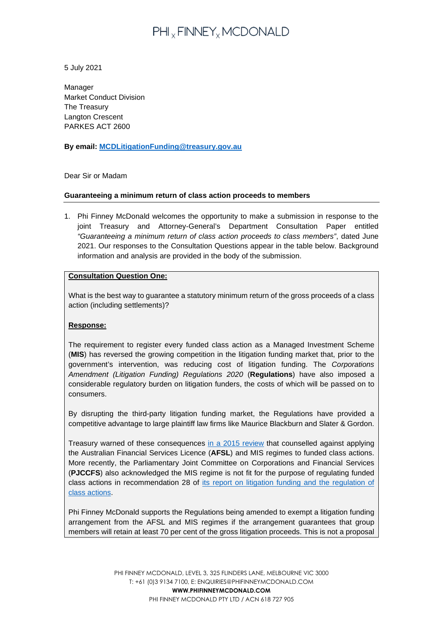# PHI<sub>x</sub> FINNEY<sub>x</sub> MCDONALD

5 July 2021

Manager Market Conduct Division The Treasury Langton Crescent PARKES ACT 2600

## **By email: [MCDLitigationFunding@treasury.gov.au](mailto:MCDLitigationFunding@treasury.gov.au)**

## Dear Sir or Madam

#### **Guaranteeing a minimum return of class action proceeds to members**

1. Phi Finney McDonald welcomes the opportunity to make a submission in response to the joint Treasury and Attorney-General's Department Consultation Paper entitled *"Guaranteeing a minimum return of class action proceeds to class members"*, dated June 2021. Our responses to the Consultation Questions appear in the table below. Background information and analysis are provided in the body of the submission.

#### **Consultation Question One:**

What is the best way to guarantee a statutory minimum return of the gross proceeds of a class action (including settlements)?

## **Response:**

The requirement to register every funded class action as a Managed Investment Scheme (**MIS**) has reversed the growing competition in the litigation funding market that, prior to the government's intervention, was reducing cost of litigation funding. The *Corporations Amendment (Litigation Funding) Regulations 2020* (**Regulations**) have also imposed a considerable regulatory burden on litigation funders, the costs of which will be passed on to consumers.

By disrupting the third-party litigation funding market, the Regulations have provided a competitive advantage to large plaintiff law firms like Maurice Blackburn and Slater & Gordon.

Treasury warned of these consequences [in a 2015 review](https://ris.pmc.gov.au/2016/03/15/litigation-funding) that counselled against applying the Australian Financial Services Licence (**AFSL**) and MIS regimes to funded class actions. More recently, the Parliamentary Joint Committee on Corporations and Financial Services (**PJCCFS**) also acknowledged the MIS regime is not fit for the purpose of regulating funded class actions in recommendation 28 of [its report on litigation funding and the regulation of](https://www.aph.gov.au/Parliamentary_Business/Committees/Joint/Corporations_and_Financial_Services/Litigationfunding/Report)  [class actions.](https://www.aph.gov.au/Parliamentary_Business/Committees/Joint/Corporations_and_Financial_Services/Litigationfunding/Report)

Phi Finney McDonald supports the Regulations being amended to exempt a litigation funding arrangement from the AFSL and MIS regimes if the arrangement guarantees that group members will retain at least 70 per cent of the gross litigation proceeds. This is not a proposal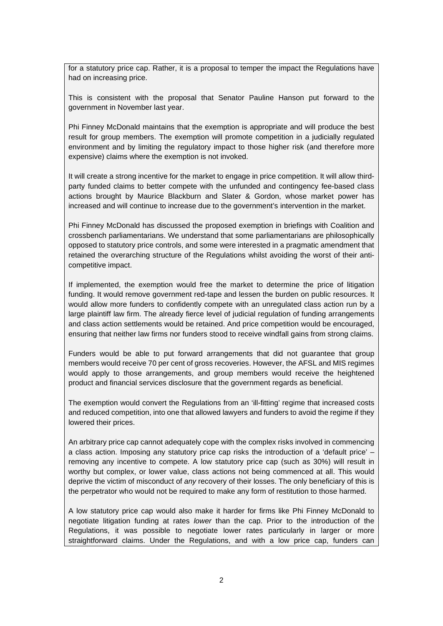for a statutory price cap. Rather, it is a proposal to temper the impact the Regulations have had on increasing price.

This is consistent with the proposal that Senator Pauline Hanson put forward to the government in November last year.

Phi Finney McDonald maintains that the exemption is appropriate and will produce the best result for group members. The exemption will promote competition in a judicially regulated environment and by limiting the regulatory impact to those higher risk (and therefore more expensive) claims where the exemption is not invoked.

It will create a strong incentive for the market to engage in price competition. It will allow thirdparty funded claims to better compete with the unfunded and contingency fee-based class actions brought by Maurice Blackburn and Slater & Gordon, whose market power has increased and will continue to increase due to the government's intervention in the market.

Phi Finney McDonald has discussed the proposed exemption in briefings with Coalition and crossbench parliamentarians. We understand that some parliamentarians are philosophically opposed to statutory price controls, and some were interested in a pragmatic amendment that retained the overarching structure of the Regulations whilst avoiding the worst of their anticompetitive impact.

If implemented, the exemption would free the market to determine the price of litigation funding. It would remove government red-tape and lessen the burden on public resources. It would allow more funders to confidently compete with an unregulated class action run by a large plaintiff law firm. The already fierce level of judicial regulation of funding arrangements and class action settlements would be retained. And price competition would be encouraged, ensuring that neither law firms nor funders stood to receive windfall gains from strong claims.

Funders would be able to put forward arrangements that did not guarantee that group members would receive 70 per cent of gross recoveries. However, the AFSL and MIS regimes would apply to those arrangements, and group members would receive the heightened product and financial services disclosure that the government regards as beneficial.

The exemption would convert the Regulations from an 'ill-fitting' regime that increased costs and reduced competition, into one that allowed lawyers and funders to avoid the regime if they lowered their prices.

An arbitrary price cap cannot adequately cope with the complex risks involved in commencing a class action. Imposing any statutory price cap risks the introduction of a 'default price' – removing any incentive to compete. A low statutory price cap (such as 30%) will result in worthy but complex, or lower value, class actions not being commenced at all. This would deprive the victim of misconduct of *any* recovery of their losses. The only beneficiary of this is the perpetrator who would not be required to make any form of restitution to those harmed.

A low statutory price cap would also make it harder for firms like Phi Finney McDonald to negotiate litigation funding at rates *lower* than the cap. Prior to the introduction of the Regulations, it was possible to negotiate lower rates particularly in larger or more straightforward claims. Under the Regulations, and with a low price cap, funders can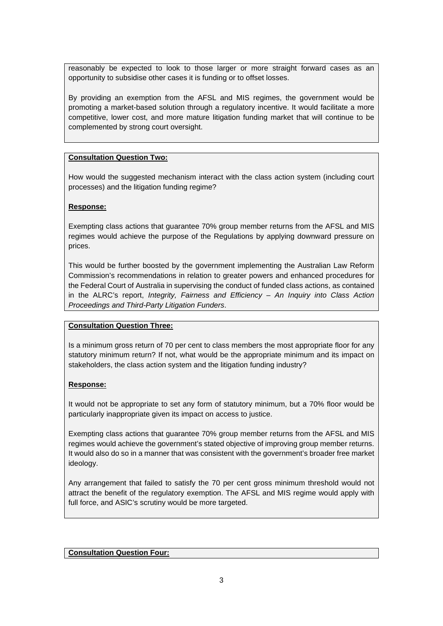reasonably be expected to look to those larger or more straight forward cases as an opportunity to subsidise other cases it is funding or to offset losses.

By providing an exemption from the AFSL and MIS regimes, the government would be promoting a market-based solution through a regulatory incentive. It would facilitate a more competitive, lower cost, and more mature litigation funding market that will continue to be complemented by strong court oversight.

## **Consultation Question Two:**

How would the suggested mechanism interact with the class action system (including court processes) and the litigation funding regime?

# **Response:**

Exempting class actions that guarantee 70% group member returns from the AFSL and MIS regimes would achieve the purpose of the Regulations by applying downward pressure on prices.

This would be further boosted by the government implementing the Australian Law Reform Commission's recommendations in relation to greater powers and enhanced procedures for the Federal Court of Australia in supervising the conduct of funded class actions, as contained in the ALRC's report, *Integrity, Fairness and Efficiency – An Inquiry into Class Action Proceedings and Third-Party Litigation Funders*.

## **Consultation Question Three:**

Is a minimum gross return of 70 per cent to class members the most appropriate floor for any statutory minimum return? If not, what would be the appropriate minimum and its impact on stakeholders, the class action system and the litigation funding industry?

## **Response:**

It would not be appropriate to set any form of statutory minimum, but a 70% floor would be particularly inappropriate given its impact on access to justice.

Exempting class actions that guarantee 70% group member returns from the AFSL and MIS regimes would achieve the government's stated objective of improving group member returns. It would also do so in a manner that was consistent with the government's broader free market ideology.

Any arrangement that failed to satisfy the 70 per cent gross minimum threshold would not attract the benefit of the regulatory exemption. The AFSL and MIS regime would apply with full force, and ASIC's scrutiny would be more targeted.

## **Consultation Question Four:**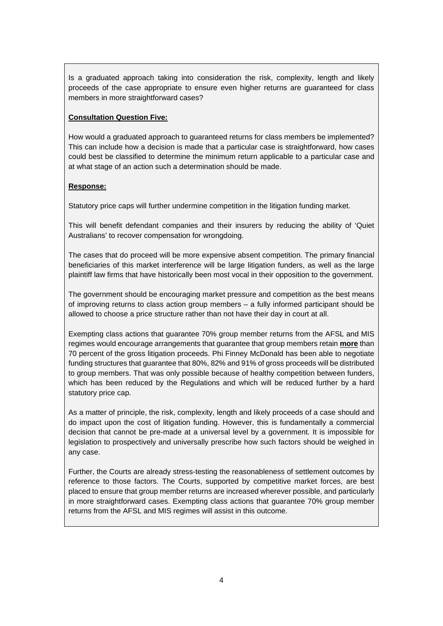Is a graduated approach taking into consideration the risk, complexity, length and likely proceeds of the case appropriate to ensure even higher returns are guaranteed for class members in more straightforward cases?

# **Consultation Question Five:**

How would a graduated approach to guaranteed returns for class members be implemented? This can include how a decision is made that a particular case is straightforward, how cases could best be classified to determine the minimum return applicable to a particular case and at what stage of an action such a determination should be made.

# **Response:**

Statutory price caps will further undermine competition in the litigation funding market.

This will benefit defendant companies and their insurers by reducing the ability of 'Quiet Australians' to recover compensation for wrongdoing.

The cases that do proceed will be more expensive absent competition. The primary financial beneficiaries of this market interference will be large litigation funders, as well as the large plaintiff law firms that have historically been most vocal in their opposition to the government.

The government should be encouraging market pressure and competition as the best means of improving returns to class action group members – a fully informed participant should be allowed to choose a price structure rather than not have their day in court at all.

Exempting class actions that guarantee 70% group member returns from the AFSL and MIS regimes would encourage arrangements that guarantee that group members retain **more** than 70 percent of the gross litigation proceeds. Phi Finney McDonald has been able to negotiate funding structures that guarantee that 80%, 82% and 91% of gross proceeds will be distributed to group members. That was only possible because of healthy competition between funders, which has been reduced by the Regulations and which will be reduced further by a hard statutory price cap.

As a matter of principle, the risk, complexity, length and likely proceeds of a case should and do impact upon the cost of litigation funding. However, this is fundamentally a commercial decision that cannot be pre-made at a universal level by a government. It is impossible for legislation to prospectively and universally prescribe how such factors should be weighed in any case.

Further, the Courts are already stress-testing the reasonableness of settlement outcomes by reference to those factors. The Courts, supported by competitive market forces, are best placed to ensure that group member returns are increased wherever possible, and particularly in more straightforward cases. Exempting class actions that guarantee 70% group member returns from the AFSL and MIS regimes will assist in this outcome.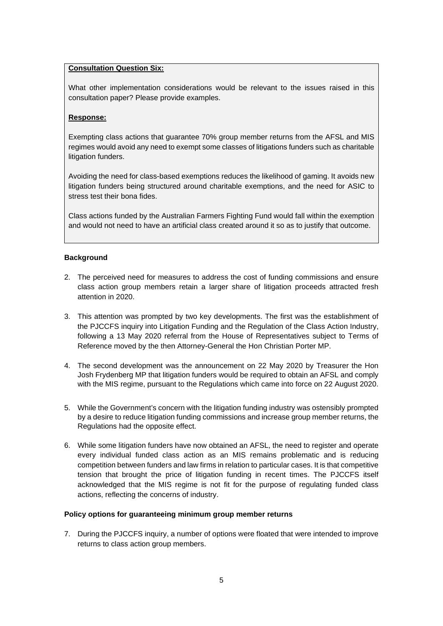# **Consultation Question Six:**

What other implementation considerations would be relevant to the issues raised in this consultation paper? Please provide examples.

#### **Response:**

Exempting class actions that guarantee 70% group member returns from the AFSL and MIS regimes would avoid any need to exempt some classes of litigations funders such as charitable litigation funders.

Avoiding the need for class-based exemptions reduces the likelihood of gaming. It avoids new litigation funders being structured around charitable exemptions, and the need for ASIC to stress test their bona fides.

Class actions funded by the Australian Farmers Fighting Fund would fall within the exemption and would not need to have an artificial class created around it so as to justify that outcome.

#### **Background**

- 2. The perceived need for measures to address the cost of funding commissions and ensure class action group members retain a larger share of litigation proceeds attracted fresh attention in 2020.
- 3. This attention was prompted by two key developments. The first was the establishment of the PJCCFS inquiry into Litigation Funding and the Regulation of the Class Action Industry, following a 13 May 2020 referral from the House of Representatives subject to Terms of Reference moved by the then Attorney-General the Hon Christian Porter MP.
- 4. The second development was the announcement on 22 May 2020 by Treasurer the Hon Josh Frydenberg MP that litigation funders would be required to obtain an AFSL and comply with the MIS regime, pursuant to the Regulations which came into force on 22 August 2020.
- 5. While the Government's concern with the litigation funding industry was ostensibly prompted by a desire to reduce litigation funding commissions and increase group member returns, the Regulations had the opposite effect.
- 6. While some litigation funders have now obtained an AFSL, the need to register and operate every individual funded class action as an MIS remains problematic and is reducing competition between funders and law firms in relation to particular cases. It is that competitive tension that brought the price of litigation funding in recent times. The PJCCFS itself acknowledged that the MIS regime is not fit for the purpose of regulating funded class actions, reflecting the concerns of industry.

#### **Policy options for guaranteeing minimum group member returns**

7. During the PJCCFS inquiry, a number of options were floated that were intended to improve returns to class action group members.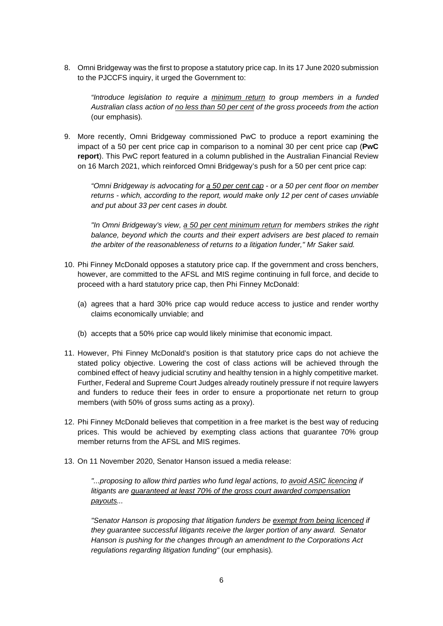8. Omni Bridgeway was the first to propose a statutory price cap. In its 17 June 2020 submission to the PJCCFS inquiry, it urged the Government to:

*"Introduce legislation to require a minimum return to group members in a funded Australian class action of no less than 50 per cent of the gross proceeds from the action*  (our emphasis)*.* 

9. More recently, Omni Bridgeway commissioned PwC to produce a report examining the impact of a 50 per cent price cap in comparison to a nominal 30 per cent price cap (**PwC report**). This PwC report featured in a column published in the Australian Financial Review on 16 March 2021, which reinforced Omni Bridgeway's push for a 50 per cent price cap:

*"Omni Bridgeway is advocating for a 50 per cent cap - or a 50 per cent floor on member returns - which, according to the report, would make only 12 per cent of cases unviable and put about 33 per cent cases in doubt.*

*"In Omni Bridgeway's view, a 50 per cent minimum return for members strikes the right balance, beyond which the courts and their expert advisers are best placed to remain the arbiter of the reasonableness of returns to a litigation funder," Mr Saker said.* 

- 10. Phi Finney McDonald opposes a statutory price cap. If the government and cross benchers, however, are committed to the AFSL and MIS regime continuing in full force, and decide to proceed with a hard statutory price cap, then Phi Finney McDonald:
	- (a) agrees that a hard 30% price cap would reduce access to justice and render worthy claims economically unviable; and
	- (b) accepts that a 50% price cap would likely minimise that economic impact.
- 11. However, Phi Finney McDonald's position is that statutory price caps do not achieve the stated policy objective. Lowering the cost of class actions will be achieved through the combined effect of heavy judicial scrutiny and healthy tension in a highly competitive market. Further, Federal and Supreme Court Judges already routinely pressure if not require lawyers and funders to reduce their fees in order to ensure a proportionate net return to group members (with 50% of gross sums acting as a proxy).
- 12. Phi Finney McDonald believes that competition in a free market is the best way of reducing prices. This would be achieved by exempting class actions that guarantee 70% group member returns from the AFSL and MIS regimes.
- 13. On 11 November 2020, Senator Hanson issued a media release:

*"...proposing to allow third parties who fund legal actions, to avoid ASIC licencing if litigants are guaranteed at least 70% of the gross court awarded compensation payouts...*

*"Senator Hanson is proposing that litigation funders be exempt from being licenced if they guarantee successful litigants receive the larger portion of any award. Senator Hanson is pushing for the changes through an amendment to the Corporations Act regulations regarding litigation funding"* (our emphasis)*.*